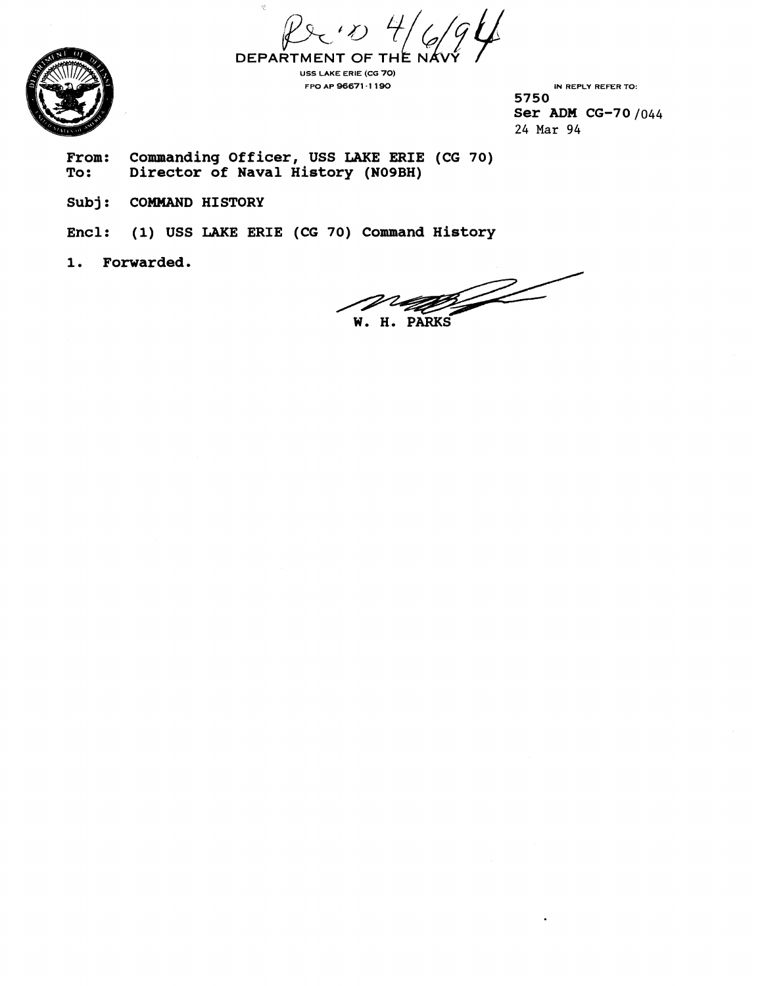$\beta$   $\beta$   $\gamma$   $\gamma$   $\beta$   $\beta$   $\beta$  DEPARTMENT OF THE NA



**US5 LAKE ERIE (CG 70)** 

**FPO AP 96671 -1 190 IN REPLY REFER TO: 5750 Ser ADM CG-70 /044 24 Mar** 94

**From: Commanding Officer, USS LAKE ERIE (CG 70)** 

**Subj: COMMAND HISTORY** 

**Encl: (1) USS LAKE ERIE (CG 70) Command History** 

**1. Forwarded.** 

**To:** Director of Naval History (NO9BH)<br>
To: Director of Naval History (NO9BH)<br>
Subj: COMMAND HISTORY<br>
Encl: (1) USS LAKE ERIE (CG 70) Command History<br>
1. Forwarded.<br>
W. H. PARKS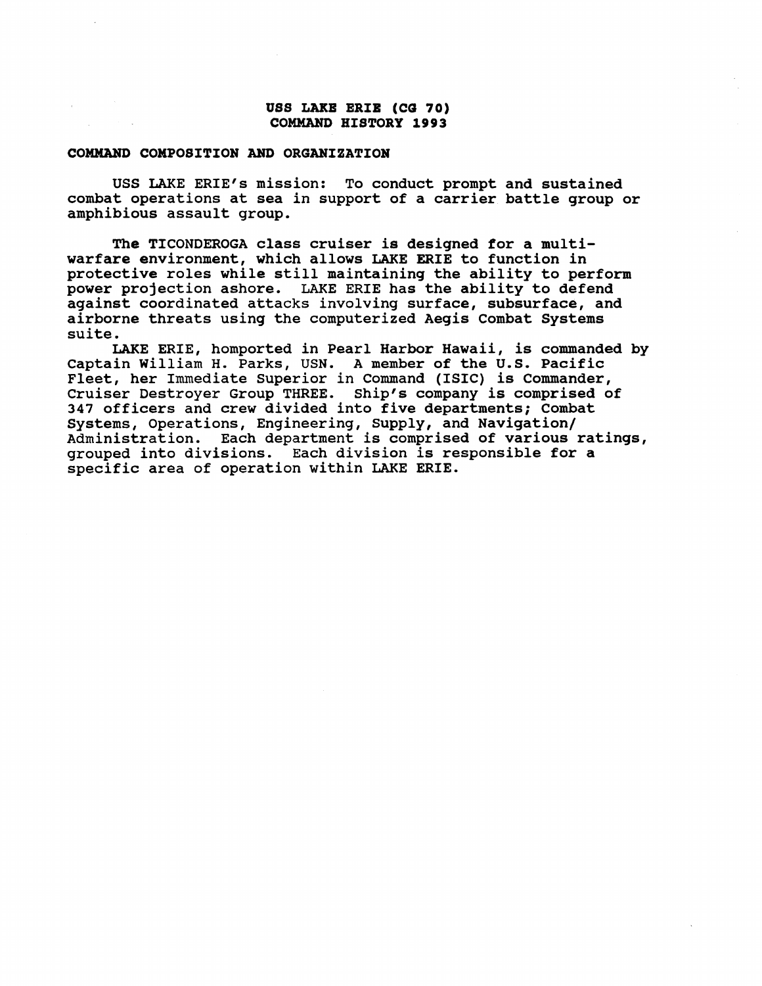## **uss LAKE ERIE (ca 70) COMMAND HISTORY 1993**

## **COMMAND COMPOSITION AND ORGANIZATION**

USS LAKE ERIE'S mission: To conduct prompt and sustained combat operations at sea in support of a carrier battle group or amphibious assault group.

The TICONDEROGA class cruiser is designed for a multiwarfare environment, which allows LAKE ERIE to function in protective roles while still maintaining the ability to perform power projection ashore. LAKE ERIE has the ability to defend against coordinated attacks involving surface, subsurface, and airborne threats using the computerized Aegis Combat Systems suite.

LAKE ERIE, homported in Pearl Harbor Hawaii, is commanded by Captain William H. Parks, USN. **A** member of the U.S. Pacific Fleet, her Immediate Superior in Command (ISIC) is Commander, Cruiser Destroyer Group THREE. Ship's company is comprised of 347 officers and crew divided into five departments; Combat Systems, Operations, Engineering, Supply, and Navigation/ Administration. Each department is comprised of various ratings, grouped into divisions. Each division is responsible for a specific area of operation within LAKE ERIE.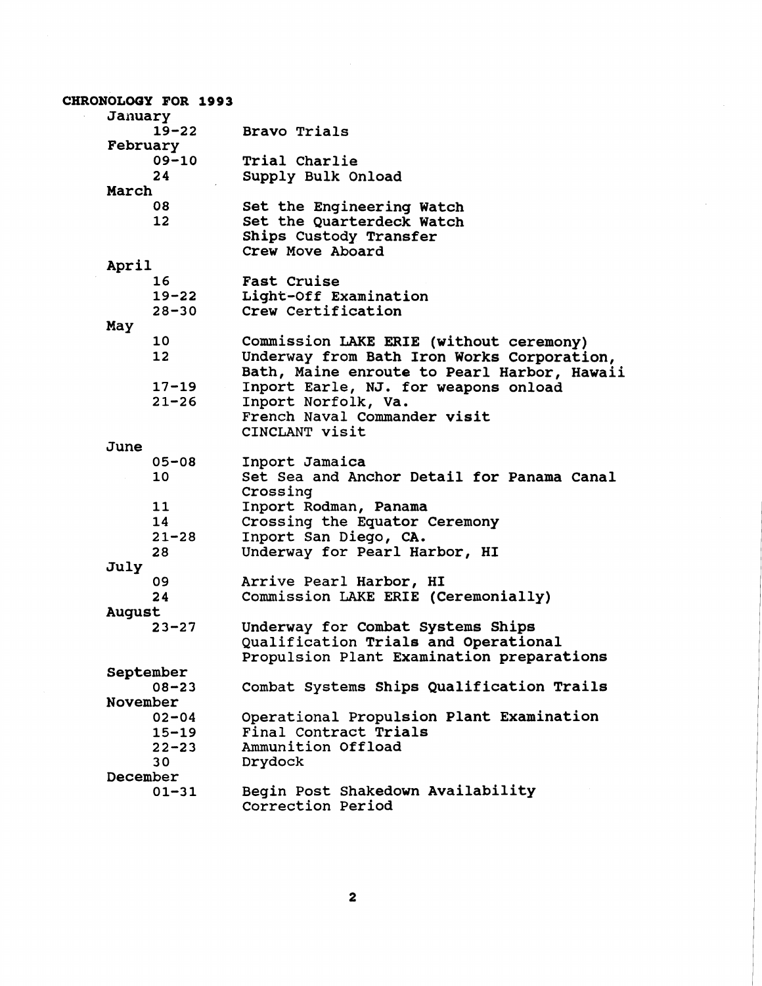| CHRONOLOGY FOR 1993 |                                             |
|---------------------|---------------------------------------------|
| January             |                                             |
| $19 - 22$           | Bravo Trials                                |
| February            |                                             |
| $09 - 10$           | Trial Charlie                               |
| 24                  | Supply Bulk Onload                          |
| March               |                                             |
| 08                  | Set the Engineering Watch                   |
| 12 <sup>2</sup>     | Set the Quarterdeck Watch                   |
|                     | Ships Custody Transfer                      |
|                     | Crew Move Aboard                            |
| April               |                                             |
| 16                  | Fast Cruise                                 |
| $19 - 22$           | Light-Off Examination                       |
| $28 - 30$           | Crew Certification                          |
| May                 |                                             |
| 10                  | Commission LAKE ERIE (without ceremony)     |
| 12                  | Underway from Bath Iron Works Corporation,  |
|                     | Bath, Maine enroute to Pearl Harbor, Hawaii |
| $17 - 19$           | Inport Earle, NJ. for weapons onload        |
| $21 - 26$           | Inport Norfolk, Va.                         |
|                     | French Naval Commander visit                |
|                     | CINCLANT visit                              |
| June                |                                             |
| $05 - 08$           | Inport Jamaica                              |
| 10                  | Set Sea and Anchor Detail for Panama Canal  |
|                     | Crossing                                    |
| 11                  | Inport Rodman, Panama                       |
| 14                  | Crossing the Equator Ceremony               |
| $21 - 28$           | Inport San Diego, CA.                       |
| 28                  | Underway for Pearl Harbor, HI               |
| July                |                                             |
| 09                  | Arrive Pearl Harbor, HI                     |
| 24                  | Commission LAKE ERIE (Ceremonially)         |
| <b>August</b>       |                                             |
| $23 - 27$           | Underway for Combat Systems Ships           |
|                     | Qualification Trials and Operational        |
|                     | Propulsion Plant Examination preparations   |
| September           |                                             |
| $08 - 23$           | Combat Systems Ships Qualification Trails   |
| November            |                                             |
| $02 - 04$           | Operational Propulsion Plant Examination    |
| $15 - 19$           | Final Contract Trials                       |
| $22 - 23$           | Ammunition Offload                          |
| 30                  | Drydock                                     |
| December            |                                             |
| $01 - 31$           | Begin Post Shakedown Availability           |
|                     | Correction Period                           |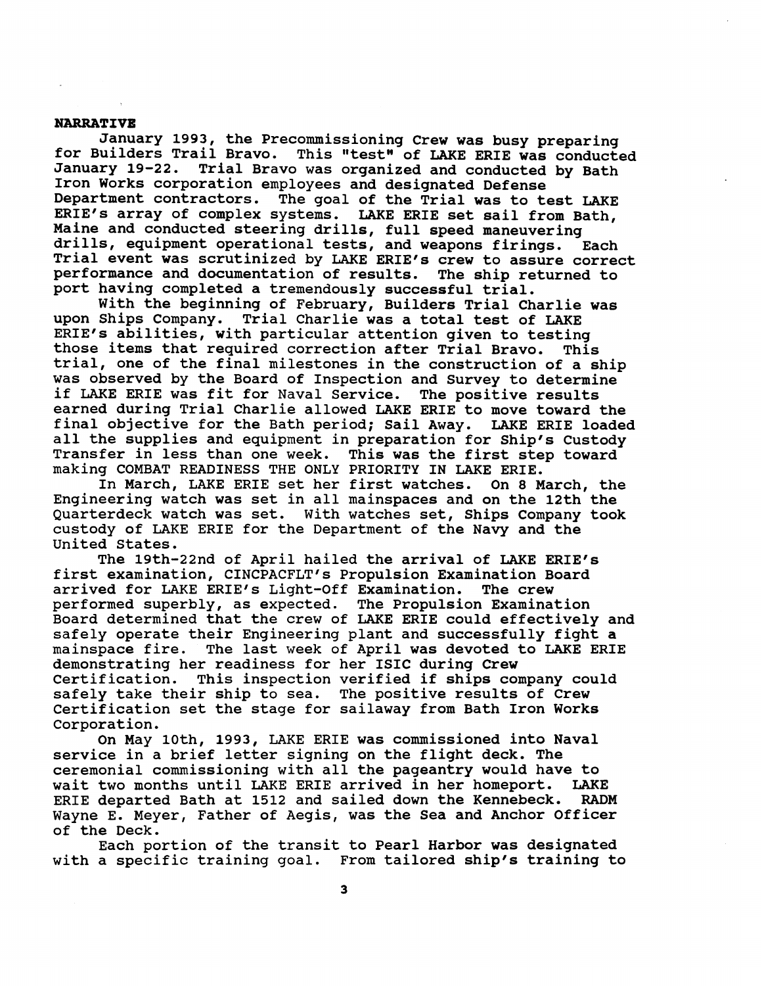## **NARRATIVE**

January 1993, the Precommissioning Crew was busy preparing for Builders Trail Bravo. This "test" of LAKE ERIE was conducted January 19-22. Trial Bravo was organized and conducted by Bath Iron Works corporation employees and designated Defense Department contractors. The goal of the Trial was to test LAKE ERIE'S array of complex systems. LAKE ERIE set sail from Bath, Maine and conducted steering drills, full speed maneuvering drills, equipment operational tests, and weapons firings. Each Trial event was scrutinized by LAKE ERIE's crew to assure correct performance and documentation of results. The ship returned to port having completed a tremendously successful trial.

With the beginning of February, Builders Trial Charlie was upon Ships Company. Trial Charlie was a total test of LAKE ERIE's abilities, with particular attention given to testing those items that required correction after Trial Bravo. This trial, one of the final milestones in the construction of a ship was observed by the Board of Inspection and Survey to determine if LAKE ERIE was fit for Naval Service. The positive results earned during Trial Charlie allowed LAKE ERIE to move toward the final objective for the Bath period; Sail Away. LAKE ERIE loaded all the supplies and equipment in preparation for Ship's Custody Transfer in less than one week. This was the first step toward making COMBAT READINESS THE ONLY PRIORITY IN LAKE ERIE.

In March, LAKE ERIE set her first watches. On 8 March, the Engineering watch was set in all mainspaces and on the 12th the Quarterdeck watch was set. With watches set, Ships Company took custody of LAKE ERIE for the Department of the Navy and the United States.

The 19th-22nd of April hailed the arrival of LAKE ERIE's first examination, CINCPACFLT's Propulsion Examination Board arrived for LAKE ERIE's Light-Off Examination. The crew performed superbly, as expected. The Propulsion Examination Board determined that the crew of LAKE ERIE could effectively and safely operate their Engineering plant and successfully fight a<br>mainspace fire. The last week of April was devoted to LAKE ERI The last week of April was devoted to LAKE ERIE demonstrating her readiness for her ISIC during Crew This inspection verified if ships company could safely take their ship to sea. The positive results of Crew certification set the stage for sailaway from Bath Iron Works Corporation.

On May loth, 1993, LAKE ERIE was commissioned into Naval service in a brief letter signing on the flight deck. The ceremonial commissioning with all the pageantry would have to wait two months until LAKE ERIE arrived in her homeport. LAKE<br>ERIE departed Bath at 1512 and sailed down the Kennebeck. RADM ERIE departed Bath at 1512 and sailed down the Kennebeck. Wayne E. Meyer, Father of Aegis, was the Sea and Anchor officer of the Deck.

Each portion of the transit to Pearl Harbor was designated with a specific training goal. From tailored ship's training to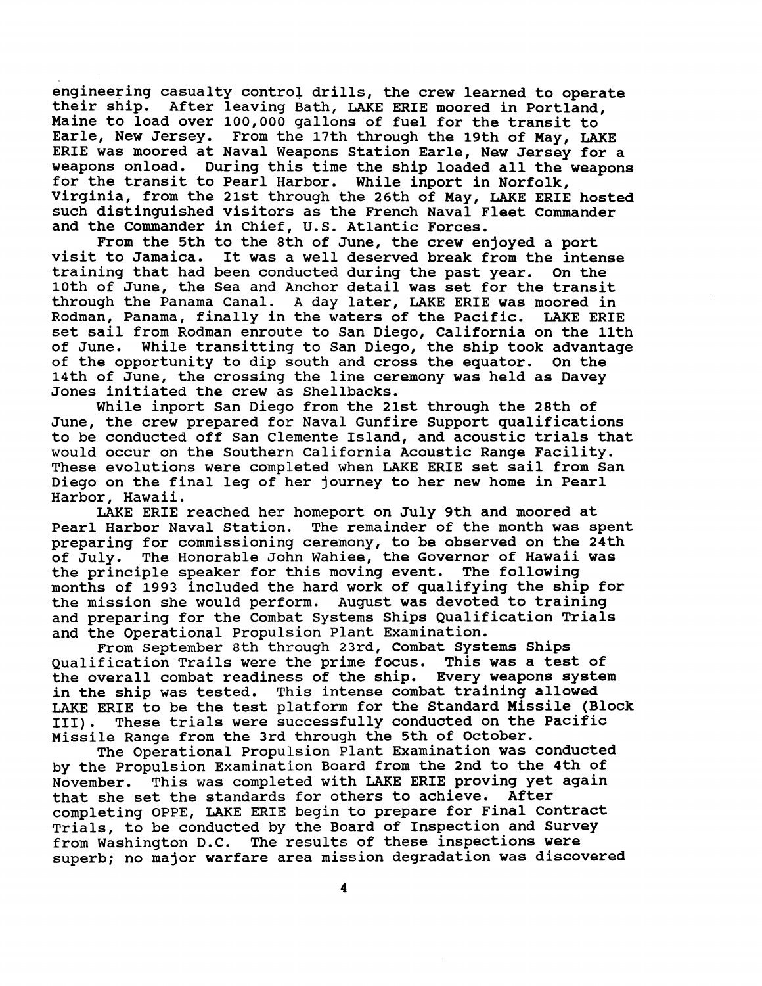engineering casualty control drills, the crew learned to operate their ship. After leaving Bath, LAKE ERIE moored in Portland, Maine to load over 100,000 gallons of fuel for the transit to Earle, New Jersey. From the 17th through the 19th of May, LAI From the 17th through the 19th of May, LAKE ERIE was moored at Naval Weapons Station Earle, New Jersey for a weapons onload. During this time the ship loaded all the weapons for the transit to Pearl Harbor. While inport in Norfolk, Virginia, from the 21st through the 26th of May, LAKE ERIE hosted such distinguished visitors as the French Naval Fleet Commander and the Commander in Chief, U.S. Atlantic Forces.

From the 5th to the 8th of June, the crew enjoyed a port<br>visit to Jamaica. It was a well deserved break from the inter It was a well deserved break from the intense training that had been conducted during the past year. On the 10th of June, the Sea and Anchor detail was set for the transit through the Panama Canal. A day later, LAKE ERIE was moored in Rodman, Panama, finally in the waters of the Pacific. LAKE ERIE set sail from Rodman enroute to San Diego, California on the 11th<br>of June. While transitting to San Diego, the ship took advantage While transitting to San Diego, the ship took advantage of the opportunity to dip south and cross the equator. On the 14th of June, the crossing the line ceremony was held as Davey Jones initiated the crew as Shellbacks.

While inport San Diego from the 21st through the 28th of June, the crew prepared for Naval Gunfire Support qualifications to be conducted off San Clemente Island, and acoustic trials that would occur on the Southern California Acoustic Range Facility. These evolutions were completed when LAKE ERIE set sail from San Diego on the final leg of her journey to her new home in Pearl Harbor, Hawaii.

LAKE ERIE reached her homeport on July 9th and moored at Pearl Harbor Naval Station. The remainder of the month was sp The remainder of the month was spent preparing for commissioning ceremony, to be observed on the 24th of July. The Honorable John Wahiee, the Governor of Hawaii was the principle speaker for this moving event. The following months of 1993 included the hard work of qualifying the ship for the mission she would perform. August was devoted to training and preparing for the Combat Systems Ships Qualification Trials and the Operational Propulsion Plant Examination.

From September 8th through 23rd, Combat Systems Ships Qualification Trails were the prime focus. This was a test of the overall combat readiness of the ship. Every weapons system in the ship was tested. This intense combat training allowed LAKE ERIE to be the test platform for the Standard Missile (Block 111). These trials were successfully conducted on the Pacific Missile Range from the 3rd through the 5th of October.

The Operational Propulsion Plant Examination was conducted by the Propulsion Examination Board from the 2nd to the 4th of November. This was completed with LAKE ERIE proving yet again that she set the standards for others to achieve. After completing OPPE, LAKE ERIE begin to prepare for Final Contract Trials, to be conducted by the Board of Inspection and Survey from Washington D.C. The results of these inspections were superb; no major warfare area mission degradation was discovered